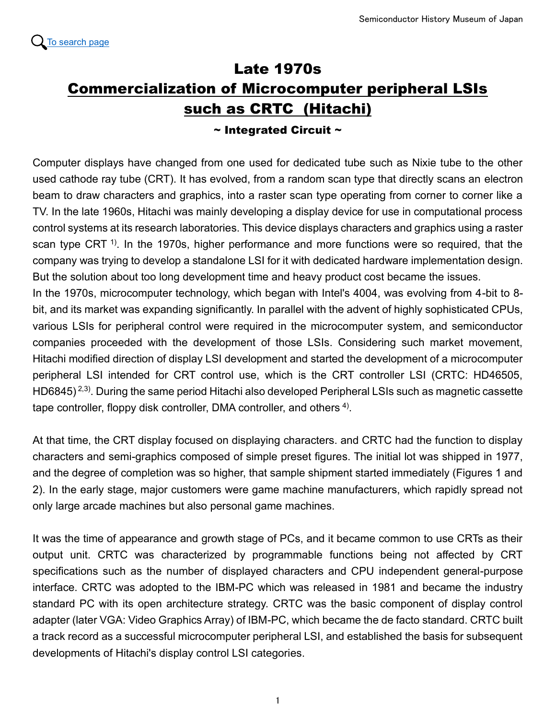## Late 1970s Commercialization of Microcomputer peripheral LSIs such as CRTC (Hitachi)

## $\sim$  Integrated Circuit  $\sim$

Computer displays have changed from one used for dedicated tube such as Nixie tube to the other used cathode ray tube (CRT). It has evolved, from a random scan type that directly scans an electron beam to draw characters and graphics, into a raster scan type operating from corner to corner like a TV. In the late 1960s, Hitachi was mainly developing a display device for use in computational process control systems at its research laboratories. This device displays characters and graphics using a raster scan type CRT<sup> $1$ )</sup>. In the 1970s, higher performance and more functions were so required, that the company was trying to develop a standalone LSI for it with dedicated hardware implementation design. But the solution about too long development time and heavy product cost became the issues.

In the 1970s, microcomputer technology, which began with Intel's 4004, was evolving from 4-bit to 8 bit, and its market was expanding significantly. In parallel with the advent of highly sophisticated CPUs, various LSIs for peripheral control were required in the microcomputer system, and semiconductor companies proceeded with the development of those LSIs. Considering such market movement, Hitachi modified direction of display LSI development and started the development of a microcomputer peripheral LSI intended for CRT control use, which is the CRT controller LSI (CRTC: HD46505, HD6845) 2,3). During the same period Hitachi also developed Peripheral LSIs such as magnetic cassette tape controller, floppy disk controller, DMA controller, and others  $4$ ).

At that time, the CRT display focused on displaying characters. and CRTC had the function to display characters and semi-graphics composed of simple preset figures. The initial lot was shipped in 1977, and the degree of completion was so higher, that sample shipment started immediately (Figures 1 and 2). In the early stage, major customers were game machine manufacturers, which rapidly spread not only large arcade machines but also personal game machines.

It was the time of appearance and growth stage of PCs, and it became common to use CRTs as their output unit. CRTC was characterized by programmable functions being not affected by CRT specifications such as the number of displayed characters and CPU independent general-purpose interface. CRTC was adopted to the IBM-PC which was released in 1981 and became the industry standard PC with its open architecture strategy. CRTC was the basic component of display control adapter (later VGA: Video Graphics Array) of IBM-PC, which became the de facto standard. CRTC built a track record as a successful microcomputer peripheral LSI, and established the basis for subsequent developments of Hitachi's display control LSI categories.